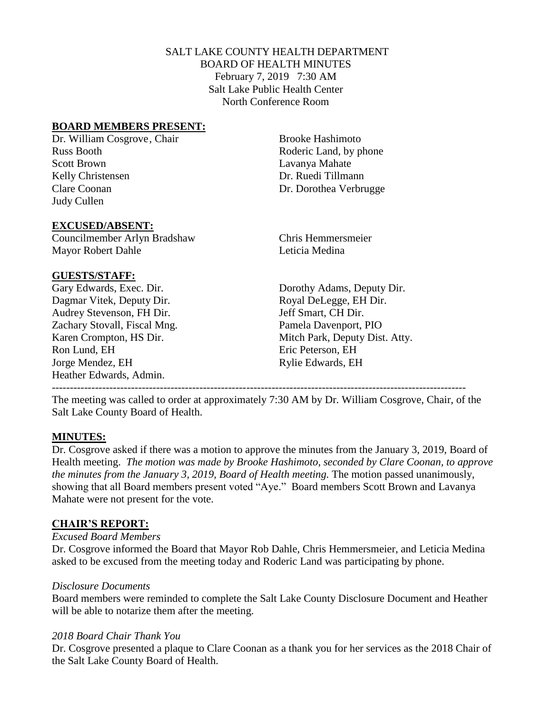## SALT LAKE COUNTY HEALTH DEPARTMENT BOARD OF HEALTH MINUTES February 7, 2019 7:30 AM Salt Lake Public Health Center North Conference Room

## **BOARD MEMBERS PRESENT:**

Russ Booth Roderic Land, by phone Scott Brown Lavanya Mahate Kelly Christensen Dr. Ruedi Tillmann Clare Coonan Dr. Dorothea Verbrugge Judy Cullen

Dr. William Cosgrove, Chair Brooke Hashimoto

#### **EXCUSED/ABSENT:**

Councilmember Arlyn Bradshaw Chris Hemmersmeier Mayor Robert Dahle **Leticia** Medina

## **GUESTS/STAFF:**

Dagmar Vitek, Deputy Dir. Royal DeLegge, EH Dir. Audrey Stevenson, FH Dir. Jeff Smart, CH Dir. Zachary Stovall, Fiscal Mng. Pamela Davenport, PIO Ron Lund, EH Eric Peterson, EH Jorge Mendez, EH Rylie Edwards, EH Heather Edwards, Admin. -------------------------------------------------------------------------------------------------------------------

Gary Edwards, Exec. Dir. Dorothy Adams, Deputy Dir. Karen Crompton, HS Dir. Mitch Park, Deputy Dist. Atty.

The meeting was called to order at approximately 7:30 AM by Dr. William Cosgrove, Chair, of the Salt Lake County Board of Health.

## **MINUTES:**

Dr. Cosgrove asked if there was a motion to approve the minutes from the January 3, 2019, Board of Health meeting. *The motion was made by Brooke Hashimoto, seconded by Clare Coonan, to approve the minutes from the January 3, 2019, Board of Health meeting.* The motion passed unanimously, showing that all Board members present voted "Aye." Board members Scott Brown and Lavanya Mahate were not present for the vote.

## **CHAIR'S REPORT:**

## *Excused Board Members*

Dr. Cosgrove informed the Board that Mayor Rob Dahle, Chris Hemmersmeier, and Leticia Medina asked to be excused from the meeting today and Roderic Land was participating by phone.

## *Disclosure Documents*

Board members were reminded to complete the Salt Lake County Disclosure Document and Heather will be able to notarize them after the meeting.

## *2018 Board Chair Thank You*

Dr. Cosgrove presented a plaque to Clare Coonan as a thank you for her services as the 2018 Chair of the Salt Lake County Board of Health.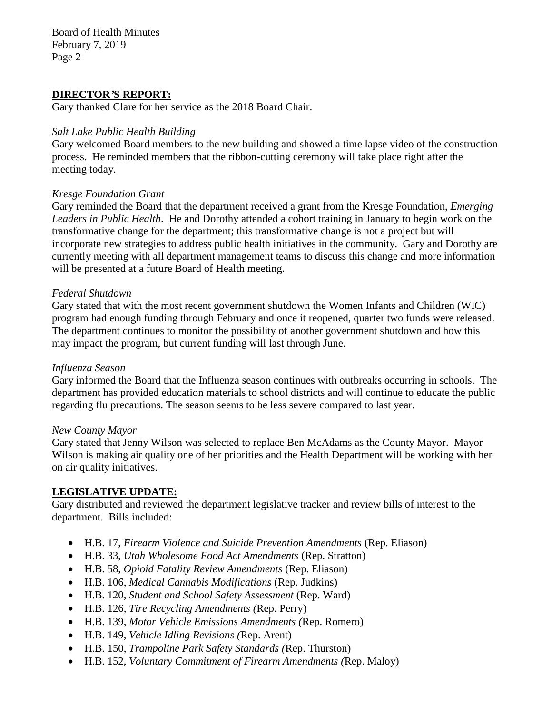Board of Health Minutes February 7, 2019 Page 2

## **DIRECTOR***'***S REPORT:**

Gary thanked Clare for her service as the 2018 Board Chair.

## *Salt Lake Public Health Building*

Gary welcomed Board members to the new building and showed a time lapse video of the construction process. He reminded members that the ribbon-cutting ceremony will take place right after the meeting today.

## *Kresge Foundation Grant*

Gary reminded the Board that the department received a grant from the Kresge Foundation, *Emerging Leaders in Public Health*. He and Dorothy attended a cohort training in January to begin work on the transformative change for the department; this transformative change is not a project but will incorporate new strategies to address public health initiatives in the community. Gary and Dorothy are currently meeting with all department management teams to discuss this change and more information will be presented at a future Board of Health meeting.

## *Federal Shutdown*

Gary stated that with the most recent government shutdown the Women Infants and Children (WIC) program had enough funding through February and once it reopened, quarter two funds were released. The department continues to monitor the possibility of another government shutdown and how this may impact the program, but current funding will last through June.

## *Influenza Season*

Gary informed the Board that the Influenza season continues with outbreaks occurring in schools. The department has provided education materials to school districts and will continue to educate the public regarding flu precautions. The season seems to be less severe compared to last year.

## *New County Mayor*

Gary stated that Jenny Wilson was selected to replace Ben McAdams as the County Mayor. Mayor Wilson is making air quality one of her priorities and the Health Department will be working with her on air quality initiatives.

## **LEGISLATIVE UPDATE:**

Gary distributed and reviewed the department legislative tracker and review bills of interest to the department. Bills included:

- H.B. 17, *Firearm Violence and Suicide Prevention Amendments* (Rep. Eliason)
- H.B. 33, *Utah Wholesome Food Act Amendments* (Rep. Stratton)
- H.B. 58, *Opioid Fatality Review Amendments* (Rep. Eliason)
- H.B. 106, *Medical Cannabis Modifications* (Rep. Judkins)
- H.B. 120, *Student and School Safety Assessment* (Rep. Ward)
- H.B. 126, *Tire Recycling Amendments (*Rep. Perry)
- H.B. 139, *Motor Vehicle Emissions Amendments (*Rep. Romero)
- H.B. 149, *Vehicle Idling Revisions (*Rep. Arent)
- H.B. 150, *Trampoline Park Safety Standards (*Rep. Thurston)
- H.B. 152, *Voluntary Commitment of Firearm Amendments (*Rep. Maloy)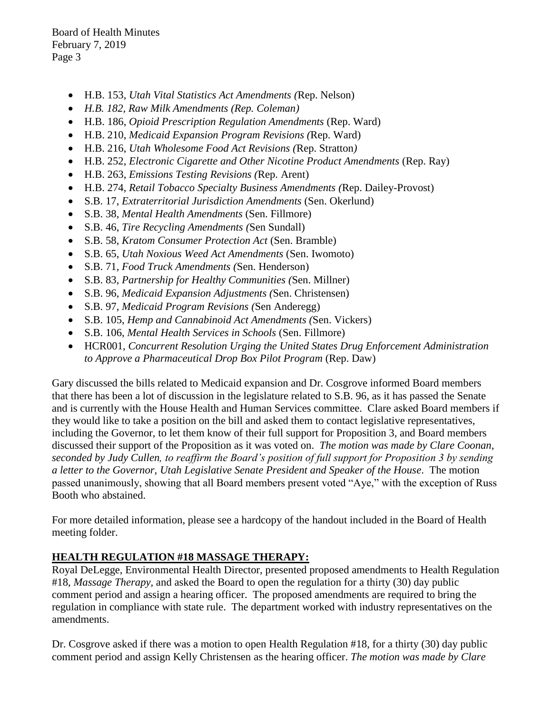Board of Health Minutes February 7, 2019 Page 3

- H.B. 153, *Utah Vital Statistics Act Amendments (*Rep. Nelson)
- *H.B. 182, Raw Milk Amendments (Rep. Coleman)*
- H.B. 186, *Opioid Prescription Regulation Amendments* (Rep. Ward)
- H.B. 210, *Medicaid Expansion Program Revisions (*Rep. Ward)
- H.B. 216, *Utah Wholesome Food Act Revisions (*Rep. Stratton*)*
- H.B. 252, *Electronic Cigarette and Other Nicotine Product Amendments* (Rep. Ray)
- H.B. 263, *Emissions Testing Revisions (*Rep. Arent)
- H.B. 274, *Retail Tobacco Specialty Business Amendments (*Rep. Dailey-Provost)
- S.B. 17, *Extraterritorial Jurisdiction Amendments* (Sen. Okerlund)
- S.B. 38, *Mental Health Amendments* (Sen. Fillmore)
- S.B. 46, *Tire Recycling Amendments (*Sen Sundall)
- S.B. 58, *Kratom Consumer Protection Act* (Sen. Bramble)
- S.B. 65, *Utah Noxious Weed Act Amendments* (Sen. Iwomoto)
- S.B. 71, *Food Truck Amendments (*Sen. Henderson)
- S.B. 83, *Partnership for Healthy Communities (*Sen. Millner)
- S.B. 96, *Medicaid Expansion Adjustments (*Sen. Christensen)
- S.B. 97, *Medicaid Program Revisions (*Sen Anderegg)
- S.B. 105, *Hemp and Cannabinoid Act Amendments (*Sen. Vickers)
- S.B. 106, *Mental Health Services in Schools* (Sen. Fillmore)
- HCR001, *Concurrent Resolution Urging the United States Drug Enforcement Administration to Approve a Pharmaceutical Drop Box Pilot Program* (Rep. Daw)

Gary discussed the bills related to Medicaid expansion and Dr. Cosgrove informed Board members that there has been a lot of discussion in the legislature related to S.B. 96, as it has passed the Senate and is currently with the House Health and Human Services committee. Clare asked Board members if they would like to take a position on the bill and asked them to contact legislative representatives, including the Governor, to let them know of their full support for Proposition 3, and Board members discussed their support of the Proposition as it was voted on. *The motion was made by Clare Coonan, seconded by Judy Cullen, to reaffirm the Board's position of full support for Proposition 3 by sending a letter to the Governor, Utah Legislative Senate President and Speaker of the House*. The motion passed unanimously, showing that all Board members present voted "Aye," with the exception of Russ Booth who abstained.

For more detailed information, please see a hardcopy of the handout included in the Board of Health meeting folder.

# **HEALTH REGULATION #18 MASSAGE THERAPY:**

Royal DeLegge, Environmental Health Director, presented proposed amendments to Health Regulation #18, *Massage Therapy,* and asked the Board to open the regulation for a thirty (30) day public comment period and assign a hearing officer. The proposed amendments are required to bring the regulation in compliance with state rule. The department worked with industry representatives on the amendments.

Dr. Cosgrove asked if there was a motion to open Health Regulation #18, for a thirty (30) day public comment period and assign Kelly Christensen as the hearing officer. *The motion was made by Clare*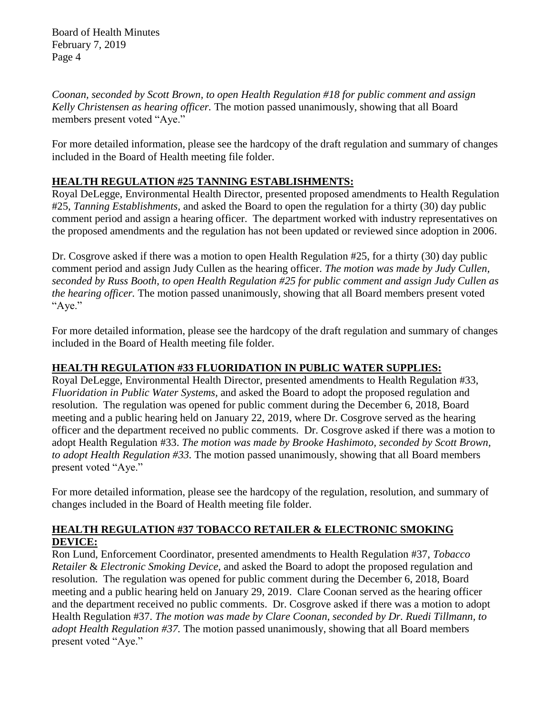*Coonan, seconded by Scott Brown, to open Health Regulation #18 for public comment and assign Kelly Christensen as hearing officer.* The motion passed unanimously, showing that all Board members present voted "Aye."

For more detailed information, please see the hardcopy of the draft regulation and summary of changes included in the Board of Health meeting file folder.

# **HEALTH REGULATION #25 TANNING ESTABLISHMENTS:**

Royal DeLegge, Environmental Health Director, presented proposed amendments to Health Regulation #25, *Tanning Establishments,* and asked the Board to open the regulation for a thirty (30) day public comment period and assign a hearing officer. The department worked with industry representatives on the proposed amendments and the regulation has not been updated or reviewed since adoption in 2006.

Dr. Cosgrove asked if there was a motion to open Health Regulation #25, for a thirty (30) day public comment period and assign Judy Cullen as the hearing officer. *The motion was made by Judy Cullen, seconded by Russ Booth, to open Health Regulation #25 for public comment and assign Judy Cullen as the hearing officer.* The motion passed unanimously, showing that all Board members present voted "Aye."

For more detailed information, please see the hardcopy of the draft regulation and summary of changes included in the Board of Health meeting file folder.

# **HEALTH REGULATION #33 FLUORIDATION IN PUBLIC WATER SUPPLIES:**

Royal DeLegge, Environmental Health Director, presented amendments to Health Regulation #33, *Fluoridation in Public Water Systems,* and asked the Board to adopt the proposed regulation and resolution. The regulation was opened for public comment during the December 6, 2018, Board meeting and a public hearing held on January 22, 2019, where Dr. Cosgrove served as the hearing officer and the department received no public comments. Dr. Cosgrove asked if there was a motion to adopt Health Regulation #33. *The motion was made by Brooke Hashimoto, seconded by Scott Brown, to adopt Health Regulation #33.* The motion passed unanimously, showing that all Board members present voted "Aye."

For more detailed information, please see the hardcopy of the regulation, resolution, and summary of changes included in the Board of Health meeting file folder.

# **HEALTH REGULATION #37 TOBACCO RETAILER & ELECTRONIC SMOKING DEVICE:**

Ron Lund, Enforcement Coordinator, presented amendments to Health Regulation #37, *Tobacco Retailer* & *Electronic Smoking Device,* and asked the Board to adopt the proposed regulation and resolution. The regulation was opened for public comment during the December 6, 2018, Board meeting and a public hearing held on January 29, 2019. Clare Coonan served as the hearing officer and the department received no public comments. Dr. Cosgrove asked if there was a motion to adopt Health Regulation #37. *The motion was made by Clare Coonan, seconded by Dr. Ruedi Tillmann, to adopt Health Regulation #37.* The motion passed unanimously, showing that all Board members present voted "Aye."